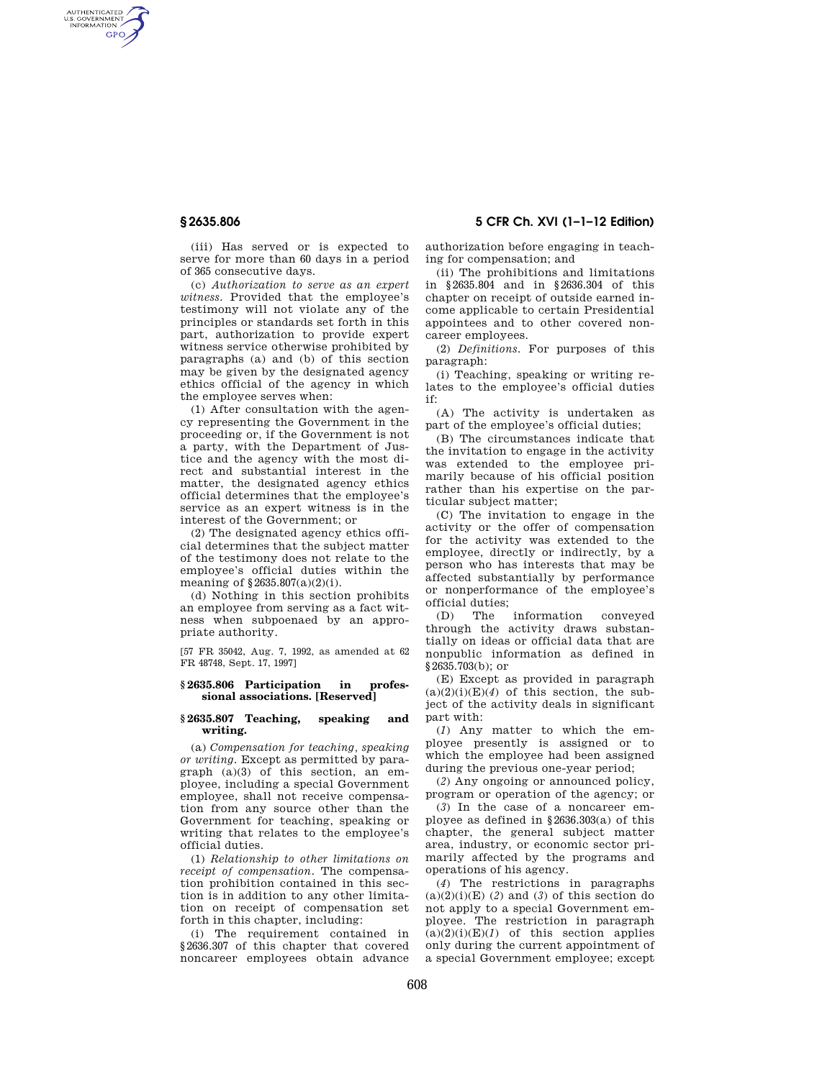AUTHENTICATED<br>U.S. GOVERNMENT<br>INFORMATION **GPO** 

**§ 2635.806 5 CFR Ch. XVI (1–1–12 Edition)** 

(iii) Has served or is expected to serve for more than 60 days in a period of 365 consecutive days.

(c) *Authorization to serve as an expert witness.* Provided that the employee's testimony will not violate any of the principles or standards set forth in this part, authorization to provide expert witness service otherwise prohibited by paragraphs (a) and (b) of this section may be given by the designated agency ethics official of the agency in which the employee serves when:

(1) After consultation with the agency representing the Government in the proceeding or, if the Government is not a party, with the Department of Justice and the agency with the most direct and substantial interest in the matter, the designated agency ethics official determines that the employee's service as an expert witness is in the interest of the Government; or

(2) The designated agency ethics official determines that the subject matter of the testimony does not relate to the employee's official duties within the meaning of §2635.807(a)(2)(i).

(d) Nothing in this section prohibits an employee from serving as a fact witness when subpoenaed by an appropriate authority.

[57 FR 35042, Aug. 7, 1992, as amended at 62 FR 48748, Sept. 17, 1997]

# **§ 2635.806 Participation in professional associations. [Reserved]**

### **§ 2635.807 Teaching, speaking and writing.**

(a) *Compensation for teaching, speaking or writing.* Except as permitted by paragraph (a)(3) of this section, an employee, including a special Government employee, shall not receive compensation from any source other than the Government for teaching, speaking or writing that relates to the employee's official duties.

(1) *Relationship to other limitations on receipt of compensation.* The compensation prohibition contained in this section is in addition to any other limitation on receipt of compensation set forth in this chapter, including:

(i) The requirement contained in §2636.307 of this chapter that covered noncareer employees obtain advance authorization before engaging in teaching for compensation; and

(ii) The prohibitions and limitations in §2635.804 and in §2636.304 of this chapter on receipt of outside earned income applicable to certain Presidential appointees and to other covered noncareer employees.

(2) *Definitions.* For purposes of this paragraph:

(i) Teaching, speaking or writing relates to the employee's official duties if:

(A) The activity is undertaken as part of the employee's official duties;

(B) The circumstances indicate that the invitation to engage in the activity was extended to the employee primarily because of his official position rather than his expertise on the particular subject matter;

(C) The invitation to engage in the activity or the offer of compensation for the activity was extended to the employee, directly or indirectly, by a person who has interests that may be affected substantially by performance or nonperformance of the employee's official duties;

(D) The information conveyed through the activity draws substantially on ideas or official data that are nonpublic information as defined in §2635.703(b); or

(E) Except as provided in paragraph  $(a)(2)(i)(E)(4)$  of this section, the subject of the activity deals in significant part with:

(*1*) Any matter to which the employee presently is assigned or to which the employee had been assigned during the previous one-year period;

(*2*) Any ongoing or announced policy, program or operation of the agency; or

(*3*) In the case of a noncareer employee as defined in §2636.303(a) of this chapter, the general subject matter area, industry, or economic sector primarily affected by the programs and operations of his agency.

(*4*) The restrictions in paragraphs  $(a)(2)(i)(E)$  (2) and (3) of this section do not apply to a special Government employee. The restriction in paragraph  $(a)(2)(i)(E)(1)$  of this section applies only during the current appointment of a special Government employee; except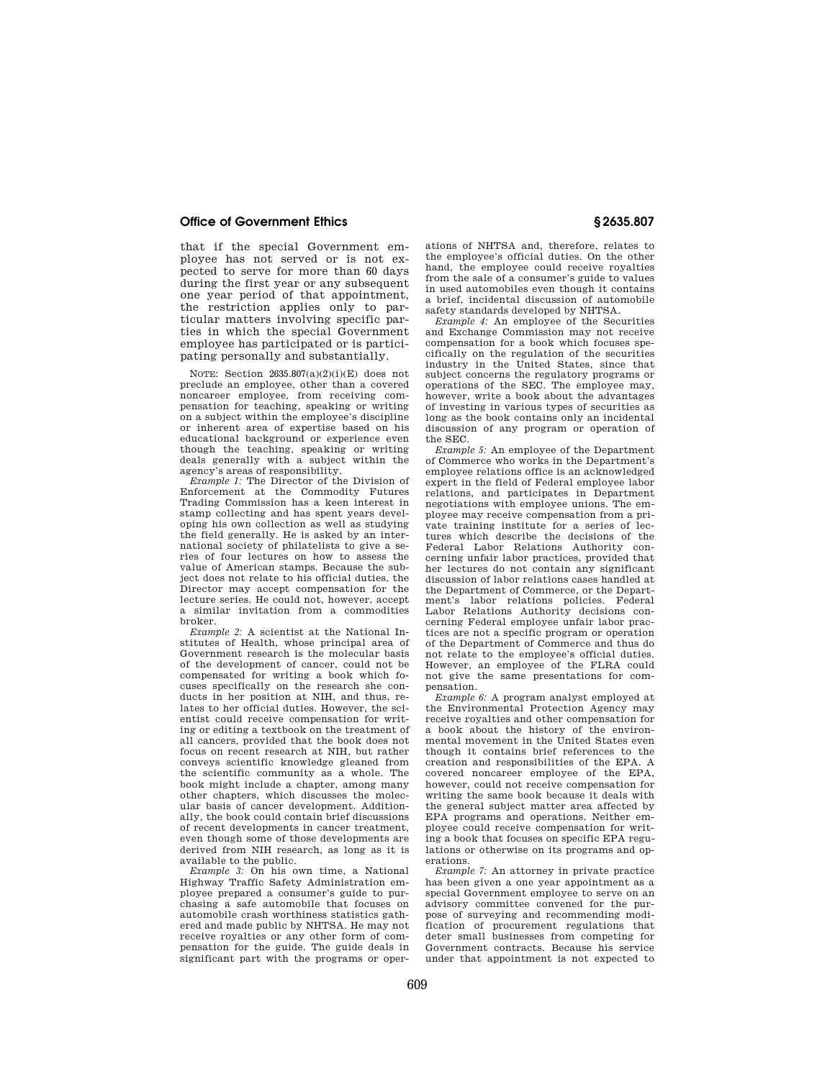## **Office of Government Ethics § 2635.807**

that if the special Government employee has not served or is not expected to serve for more than 60 days during the first year or any subsequent one year period of that appointment, the restriction applies only to particular matters involving specific parties in which the special Government employee has participated or is participating personally and substantially.

NOTE: Section  $2635.807(a)(2)(i)(E)$  does not preclude an employee, other than a covered noncareer employee, from receiving compensation for teaching, speaking or writing on a subject within the employee's discipline or inherent area of expertise based on his educational background or experience even though the teaching, speaking or writing deals generally with a subject within the agency's areas of responsibility.

*Example 1:* The Director of the Division of Enforcement at the Commodity Futures Trading Commission has a keen interest in stamp collecting and has spent years developing his own collection as well as studying the field generally. He is asked by an international society of philatelists to give a series of four lectures on how to assess the value of American stamps. Because the subject does not relate to his official duties, the Director may accept compensation for the lecture series. He could not, however, accept a similar invitation from a commodities broker.

*Example 2:* A scientist at the National Institutes of Health, whose principal area of Government research is the molecular basis of the development of cancer, could not be compensated for writing a book which focuses specifically on the research she conducts in her position at NIH, and thus, relates to her official duties. However, the scientist could receive compensation for writing or editing a textbook on the treatment of all cancers, provided that the book does not focus on recent research at NIH, but rather conveys scientific knowledge gleaned from the scientific community as a whole. The book might include a chapter, among many other chapters, which discusses the molecular basis of cancer development. Additionally, the book could contain brief discussions of recent developments in cancer treatment, even though some of those developments are derived from NIH research, as long as it is available to the public.

*Example 3:* On his own time, a National Highway Traffic Safety Administration employee prepared a consumer's guide to purchasing a safe automobile that focuses on automobile crash worthiness statistics gathered and made public by NHTSA. He may not receive royalties or any other form of compensation for the guide. The guide deals in significant part with the programs or operations of NHTSA and, therefore, relates to the employee's official duties. On the other hand, the employee could receive royalties from the sale of a consumer's guide to values in used automobiles even though it contains a brief, incidental discussion of automobile safety standards developed by NHTSA.

*Example 4:* An employee of the Securities and Exchange Commission may not receive compensation for a book which focuses specifically on the regulation of the securities industry in the United States, since that subject concerns the regulatory programs or operations of the SEC. The employee may, however, write a book about the advantages of investing in various types of securities as long as the book contains only an incidental discussion of any program or operation of the SEC.

*Example 5:* An employee of the Department of Commerce who works in the Department's employee relations office is an acknowledged expert in the field of Federal employee labor relations, and participates in Department negotiations with employee unions. The employee may receive compensation from a private training institute for a series of lectures which describe the decisions of the Federal Labor Relations Authority concerning unfair labor practices, provided that her lectures do not contain any significant discussion of labor relations cases handled at the Department of Commerce, or the Department's labor relations policies. Federal Labor Relations Authority decisions concerning Federal employee unfair labor practices are not a specific program or operation of the Department of Commerce and thus do not relate to the employee's official duties. However, an employee of the FLRA could not give the same presentations for compensation.

*Example 6:* A program analyst employed at the Environmental Protection Agency may receive royalties and other compensation for a book about the history of the environmental movement in the United States even though it contains brief references to the creation and responsibilities of the EPA. A covered noncareer employee of the EPA, however, could not receive compensation for writing the same book because it deals with the general subject matter area affected by EPA programs and operations. Neither employee could receive compensation for writing a book that focuses on specific EPA regulations or otherwise on its programs and operations.

*Example 7:* An attorney in private practice has been given a one year appointment as a special Government employee to serve on an advisory committee convened for the purpose of surveying and recommending modification of procurement regulations that deter small businesses from competing for Government contracts. Because his service under that appointment is not expected to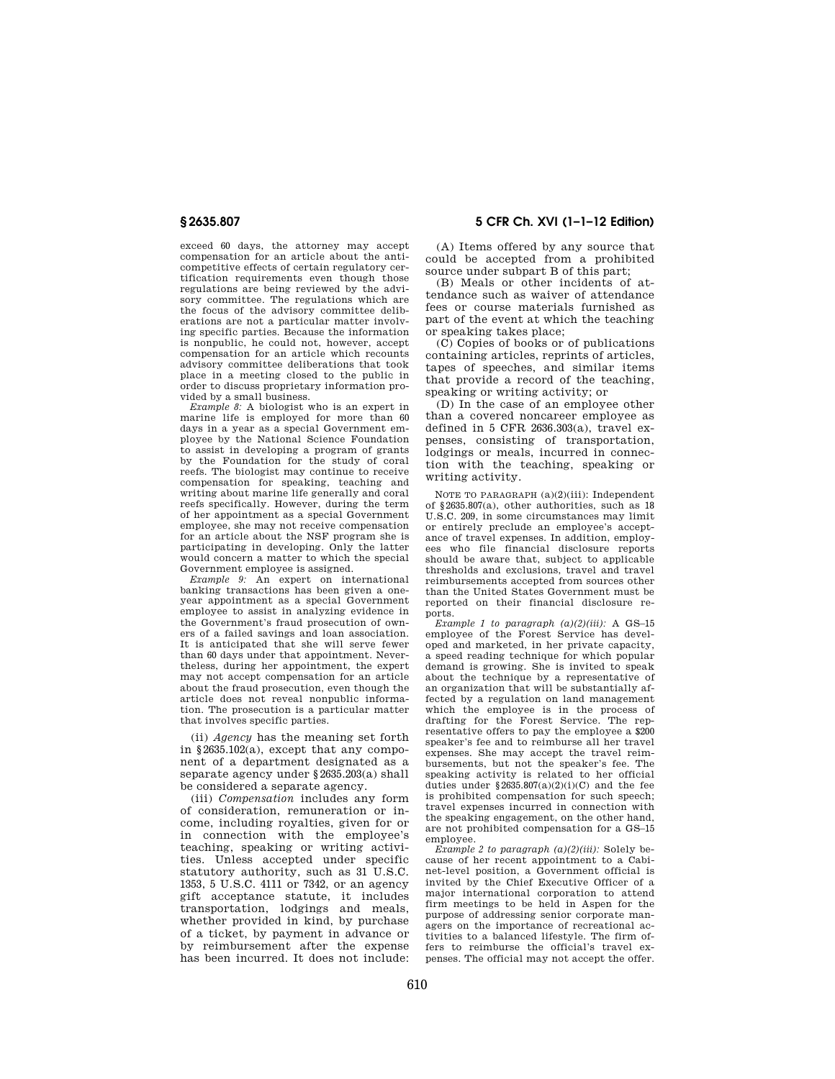exceed 60 days, the attorney may accept compensation for an article about the anticompetitive effects of certain regulatory certification requirements even though those regulations are being reviewed by the advisory committee. The regulations which are the focus of the advisory committee deliberations are not a particular matter involving specific parties. Because the information is nonpublic, he could not, however, accept compensation for an article which recounts advisory committee deliberations that took place in a meeting closed to the public in order to discuss proprietary information provided by a small business.

*Example 8:* A biologist who is an expert in marine life is employed for more than 60 days in a year as a special Government employee by the National Science Foundation to assist in developing a program of grants by the Foundation for the study of coral reefs. The biologist may continue to receive compensation for speaking, teaching and writing about marine life generally and coral reefs specifically. However, during the term of her appointment as a special Government employee, she may not receive compensation for an article about the NSF program she is participating in developing. Only the latter would concern a matter to which the special Government employee is assigned.

*Example 9:* An expert on international banking transactions has been given a oneyear appointment as a special Government employee to assist in analyzing evidence in the Government's fraud prosecution of owners of a failed savings and loan association. It is anticipated that she will serve fewer than 60 days under that appointment. Nevertheless, during her appointment, the expert may not accept compensation for an article about the fraud prosecution, even though the article does not reveal nonpublic information. The prosecution is a particular matter that involves specific parties.

(ii) *Agency* has the meaning set forth in §2635.102(a), except that any component of a department designated as a separate agency under §2635.203(a) shall be considered a separate agency.

(iii) *Compensation* includes any form of consideration, remuneration or income, including royalties, given for or in connection with the employee's teaching, speaking or writing activities. Unless accepted under specific statutory authority, such as 31 U.S.C. 1353, 5 U.S.C. 4111 or 7342, or an agency gift acceptance statute, it includes transportation, lodgings and meals, whether provided in kind, by purchase of a ticket, by payment in advance or by reimbursement after the expense has been incurred. It does not include:

**§ 2635.807 5 CFR Ch. XVI (1–1–12 Edition)** 

(A) Items offered by any source that could be accepted from a prohibited source under subpart B of this part;

(B) Meals or other incidents of attendance such as waiver of attendance fees or course materials furnished as part of the event at which the teaching or speaking takes place;

(C) Copies of books or of publications containing articles, reprints of articles, tapes of speeches, and similar items that provide a record of the teaching, speaking or writing activity; or

(D) In the case of an employee other than a covered noncareer employee as defined in 5 CFR 2636.303(a), travel expenses, consisting of transportation, lodgings or meals, incurred in connection with the teaching, speaking or writing activity.

NOTE TO PARAGRAPH  $(a)(2)(iii)$ : Independent of §2635.807(a), other authorities, such as 18 U.S.C. 209, in some circumstances may limit or entirely preclude an employee's acceptance of travel expenses. In addition, employees who file financial disclosure reports should be aware that, subject to applicable thresholds and exclusions, travel and travel reimbursements accepted from sources other than the United States Government must be reported on their financial disclosure reports.

*Example 1 to paragraph (a)(2)(iii):* A GS–15 employee of the Forest Service has developed and marketed, in her private capacity, a speed reading technique for which popular demand is growing. She is invited to speak about the technique by a representative of an organization that will be substantially affected by a regulation on land management which the employee is in the process of drafting for the Forest Service. The representative offers to pay the employee a \$200 speaker's fee and to reimburse all her travel expenses. She may accept the travel reimbursements, but not the speaker's fee. The speaking activity is related to her official duties under  $§2635.807(a)(2)(i)(C)$  and the fee is prohibited compensation for such speech; travel expenses incurred in connection with the speaking engagement, on the other hand, are not prohibited compensation for a GS–15 employee.

*Example 2 to paragraph (a)(2)(iii):* Solely because of her recent appointment to a Cabinet-level position, a Government official is invited by the Chief Executive Officer of a major international corporation to attend firm meetings to be held in Aspen for the purpose of addressing senior corporate managers on the importance of recreational activities to a balanced lifestyle. The firm offers to reimburse the official's travel expenses. The official may not accept the offer.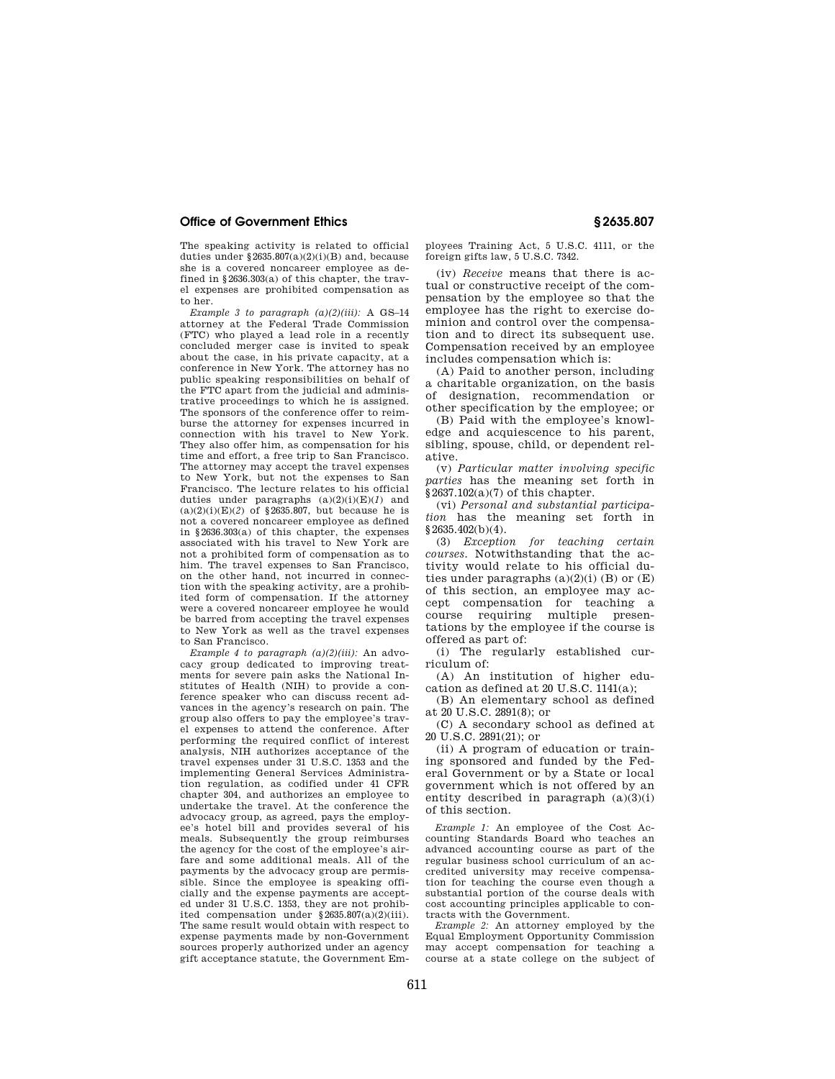## **Office of Government Ethics § 2635.807**

The speaking activity is related to official duties under  $$2635.807(a)(2)(i)(B)$  and, because she is a covered noncareer employee as defined in §2636.303(a) of this chapter, the travel expenses are prohibited compensation as to her.

*Example 3 to paragraph (a)(2)(iii):* A GS–14 attorney at the Federal Trade Commission (FTC) who played a lead role in a recently concluded merger case is invited to speak about the case, in his private capacity, at a conference in New York. The attorney has no public speaking responsibilities on behalf of the FTC apart from the judicial and administrative proceedings to which he is assigned. The sponsors of the conference offer to reimburse the attorney for expenses incurred in connection with his travel to New York. They also offer him, as compensation for his time and effort, a free trip to San Francisco. The attorney may accept the travel expenses to New York, but not the expenses to San Francisco. The lecture relates to his official duties under paragraphs (a)(2)(i)(E)(*1*) and  $(a)(2)(i)(E)(2)$  of §2635.807, but because he is not a covered noncareer employee as defined in §2636.303(a) of this chapter, the expenses associated with his travel to New York are not a prohibited form of compensation as to him. The travel expenses to San Francisco, on the other hand, not incurred in connection with the speaking activity, are a prohibited form of compensation. If the attorney were a covered noncareer employee he would be barred from accepting the travel expenses to New York as well as the travel expenses to San Francisco.

*Example 4 to paragraph (a)(2)(iii):* An advocacy group dedicated to improving treatments for severe pain asks the National Institutes of Health (NIH) to provide a conference speaker who can discuss recent advances in the agency's research on pain. The group also offers to pay the employee's travel expenses to attend the conference. After performing the required conflict of interest analysis, NIH authorizes acceptance of the travel expenses under 31 U.S.C. 1353 and the implementing General Services Administration regulation, as codified under 41 CFR chapter 304, and authorizes an employee to undertake the travel. At the conference the advocacy group, as agreed, pays the employee's hotel bill and provides several of his meals. Subsequently the group reimburses the agency for the cost of the employee's airfare and some additional meals. All of the payments by the advocacy group are permissible. Since the employee is speaking officially and the expense payments are accepted under 31 U.S.C. 1353, they are not prohibited compensation under §2635.807(a)(2)(iii). The same result would obtain with respect to expense payments made by non-Government sources properly authorized under an agency gift acceptance statute, the Government Employees Training Act, 5 U.S.C. 4111, or the foreign gifts law, 5 U.S.C. 7342.

(iv) *Receive* means that there is actual or constructive receipt of the compensation by the employee so that the employee has the right to exercise dominion and control over the compensation and to direct its subsequent use. Compensation received by an employee includes compensation which is:

(A) Paid to another person, including a charitable organization, on the basis of designation, recommendation or other specification by the employee; or

(B) Paid with the employee's knowledge and acquiescence to his parent, sibling, spouse, child, or dependent relative.

(v) *Particular matter involving specific parties* has the meaning set forth in  $\frac{1}{8}$ 2637.102(a)(7) of this chapter.

(vi) *Personal and substantial participation* has the meaning set forth in §2635.402(b)(4).

(3) *Exception for teaching certain courses.* Notwithstanding that the activity would relate to his official duties under paragraphs  $(a)(2)(i)$  (B) or  $(E)$ of this section, an employee may accept compensation for teaching a course requiring multiple presentations by the employee if the course is offered as part of:

(i) The regularly established curriculum of:

(A) An institution of higher education as defined at 20 U.S.C. 1141(a);

(B) An elementary school as defined at 20 U.S.C. 2891(8); or

(C) A secondary school as defined at 20 U.S.C. 2891(21); or

(ii) A program of education or training sponsored and funded by the Federal Government or by a State or local government which is not offered by an entity described in paragraph (a)(3)(i) of this section.

*Example 1:* An employee of the Cost Accounting Standards Board who teaches an advanced accounting course as part of the regular business school curriculum of an accredited university may receive compensation for teaching the course even though a substantial portion of the course deals with cost accounting principles applicable to contracts with the Government.

*Example 2:* An attorney employed by the Equal Employment Opportunity Commission may accept compensation for teaching a course at a state college on the subject of